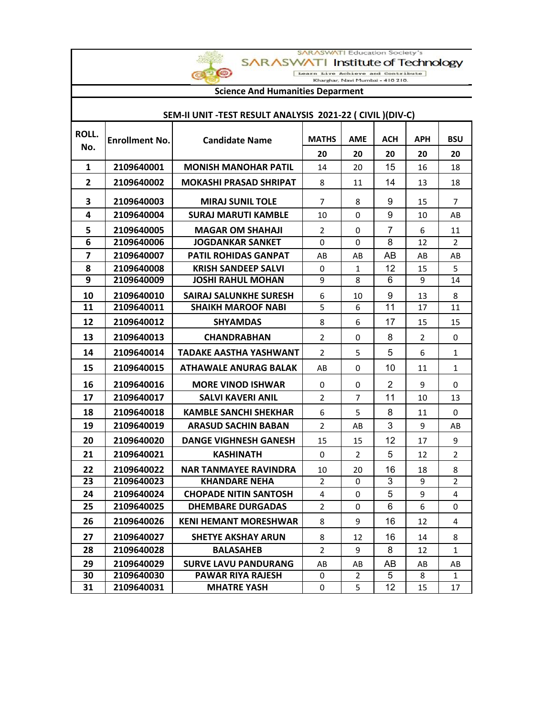SARASWATI Education Society's

## SARASWATI Institute of Technology

Learn Live Achieve and Contribute<br>Kharghar, Navi Mumbai - 410 210.

## **Science And Humanities Deparment**

CO

## **SEM-II UNIT -TEST RESULT ANALYSIS 2021-22 ( CIVIL )(DIV-C)**

| ROLL. | <b>Enrollment No.</b> | <b>Candidate Name</b>         | <b>MATHS</b>   | <b>AME</b> | ACH            | <b>APH</b>     | <b>BSU</b>     |
|-------|-----------------------|-------------------------------|----------------|------------|----------------|----------------|----------------|
| No.   |                       |                               | 20             | 20         | 20             | 20             | 20             |
| 1     | 2109640001            | <b>MONISH MANOHAR PATIL</b>   | 14             | 20         | 15             | 16             | 18             |
| 2     | 2109640002            | <b>MOKASHI PRASAD SHRIPAT</b> | 8              | 11         | 14             | 13             | 18             |
| 3     | 2109640003            | <b>MIRAJ SUNIL TOLE</b>       | 7              | 8          | 9              | 15             | $\overline{7}$ |
| 4     | 2109640004            | <b>SURAJ MARUTI KAMBLE</b>    | 10             | 0          | 9              | 10             | AB             |
| 5     | 2109640005            | <b>MAGAR OM SHAHAJI</b>       | $\overline{2}$ | 0          | 7              | 6              | 11             |
| 6     | 2109640006            | <b>JOGDANKAR SANKET</b>       | 0              | $\Omega$   | 8              | 12             | $\mathcal{P}$  |
| 7     | 2109640007            | <b>PATIL ROHIDAS GANPAT</b>   | AB             | AB         | AB             | AB             | AB             |
| 8     | 2109640008            | <b>KRISH SANDEEP SALVI</b>    | 0              | 1          | 12             | 15             | 5              |
| q     | 2109640009            | <b>JOSHI RAHUL MOHAN</b>      | 9              | 8          | 6              | q              | 14             |
| 10    | 2109640010            | <b>SAIRAJ SALUNKHE SURESH</b> | 6              | 10         | 9              | 13             | 8              |
| 11    | 2109640011            | <b>SHAIKH MAROOF NABI</b>     | 5              | 6          | 11             | 17             | 11             |
| 12    | 2109640012            | <b>SHYAMDAS</b>               | 8              | 6          | 17             | 15             | 15             |
| 13    | 2109640013            | <b>CHANDRABHAN</b>            | $\overline{2}$ | 0          | 8              | $\overline{2}$ | 0              |
| 14    | 2109640014            | <b>TADAKE AASTHA YASHWANT</b> | $\overline{2}$ | 5          | 5              | 6              | $\mathbf{1}$   |
| 15    | 2109640015            | <b>ATHAWALE ANURAG BALAK</b>  | AB             | 0          | 10             | 11             | $\mathbf{1}$   |
| 16    | 2109640016            | <b>MORE VINOD ISHWAR</b>      | 0              | 0          | $\overline{2}$ | 9              | 0              |
| 17    | 2109640017            | <b>SALVI KAVERI ANIL</b>      | $\overline{2}$ | 7          | 11             | 10             | 13             |
| 18    | 2109640018            | <b>KAMBLE SANCHI SHEKHAR</b>  | 6              | 5          | 8              | 11             | 0              |
| 19    | 2109640019            | <b>ARASUD SACHIN BABAN</b>    | $\overline{2}$ | AB         | 3              | 9              | AB             |
| 20    | 2109640020            | <b>DANGE VIGHNESH GANESH</b>  | 15             | 15         | 12             | 17             | 9              |
| 21    | 2109640021            | <b>KASHINATH</b>              | $\Omega$       | 2          | 5              | 12             | $\overline{2}$ |
| 22    | 2109640022            | <b>NAR TANMAYEE RAVINDRA</b>  | 10             | 20         | 16             | 18             | 8              |
| 23    | 2109640023            | <b>KHANDARE NEHA</b>          | 2              | 0          | 3              | 9              | $\overline{2}$ |
| 24    | 2109640024            | <b>CHOPADE NITIN SANTOSH</b>  | 4              | 0          | 5              | 9              | 4              |
| 25    | 2109640025            | <b>DHEMBARE DURGADAS</b>      | $\mathcal{P}$  | $\Omega$   | 6              | 6              | 0              |
| 26    | 2109640026            | <b>KENI HEMANT MORESHWAR</b>  | 8              | 9          | 16             | 12             | 4              |
| 27    | 2109640027            | <b>SHETYE AKSHAY ARUN</b>     | 8              | 12         | 16             | 14             | 8              |
| 28    | 2109640028            | <b>BALASAHEB</b>              | $\overline{2}$ | 9          | 8              | 12             | $\mathbf{1}$   |
| 29    | 2109640029            | <b>SURVE LAVU PANDURANG</b>   | AB             | AB         | AB             | AB             | AB             |
| 30    | 2109640030            | PAWAR RIYA RAJESH             | 0              | 2          | 5              | 8              | $\mathbf{1}$   |
| 31    | 2109640031            | <b>MHATRE YASH</b>            | 0              | 5          | 12             | 15             | 17             |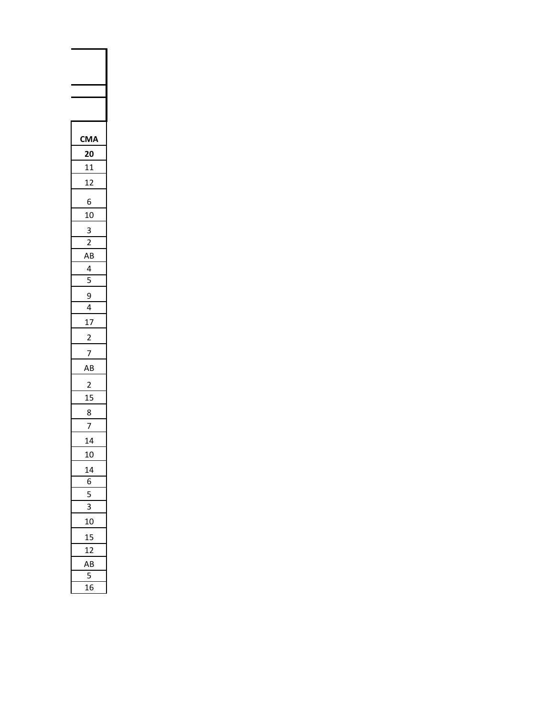| 1<br>A                  |
|-------------------------|
| 0                       |
| $\overline{1}$          |
| 12                      |
|                         |
| 6                       |
| 10<br>3                 |
| $\overline{\mathbf{r}}$ |
| ۹B                      |
| 4                       |
| $\overline{5}$          |
| 9                       |
| 4                       |
| 17                      |
|                         |
|                         |
| 3<br>J                  |
|                         |
| 1!<br>5                 |
| 8                       |
|                         |
| 14                      |
| 10                      |
|                         |
| 6<br>I                  |
| S                       |
| 10                      |
| L                       |
| 1                       |
| ۹B                      |
| l                       |
| 16<br>Ć                 |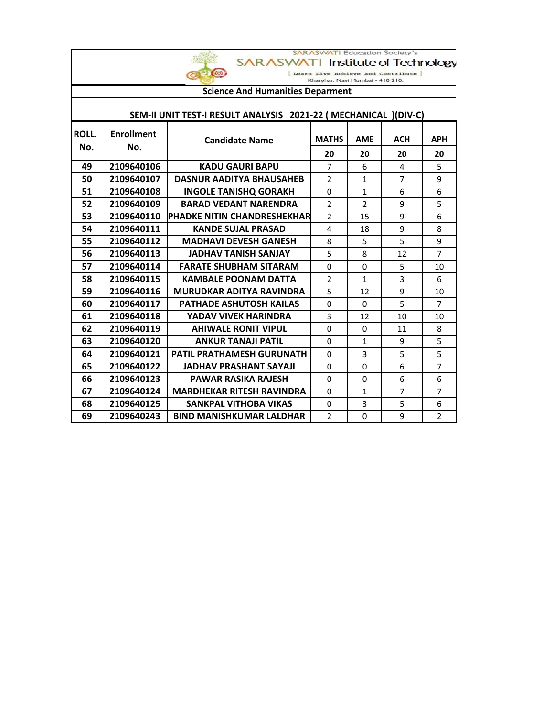|              |                                                                                      |                                                                  | <b>SARASWATI Education Society's</b> |                |                |                |
|--------------|--------------------------------------------------------------------------------------|------------------------------------------------------------------|--------------------------------------|----------------|----------------|----------------|
|              | Institute of Technology<br><b>SARASWAT</b><br>$\circ$<br>Live Achieve and Contribute |                                                                  |                                      |                |                |                |
|              |                                                                                      |                                                                  | Kharghar, Navi Mumbai - 410 210.     |                |                |                |
|              |                                                                                      | <b>Science And Humanities Deparment</b>                          |                                      |                |                |                |
|              |                                                                                      | SEM-II UNIT TEST-I RESULT ANALYSIS 2021-22 ( MECHANICAL )(DIV-C) |                                      |                |                |                |
| <b>ROLL.</b> | <b>Enrollment</b>                                                                    |                                                                  |                                      |                |                |                |
| No.          | No.                                                                                  | <b>Candidate Name</b>                                            | <b>MATHS</b>                         | <b>AME</b>     | <b>ACH</b>     | <b>APH</b>     |
|              |                                                                                      |                                                                  | 20                                   | 20             | 20             | 20             |
| 49           | 2109640106                                                                           | <b>KADU GAURI BAPU</b>                                           | 7                                    | 6              | 4              | 5              |
| 50           | 2109640107                                                                           | <b>DASNUR AADITYA BHAUSAHEB</b>                                  | $\overline{2}$                       | $\mathbf{1}$   | $\overline{7}$ | 9              |
| 51           | 2109640108                                                                           | <b>INGOLE TANISHQ GORAKH</b>                                     | $\Omega$                             | $\mathbf{1}$   | 6              | 6              |
| 52           | 2109640109                                                                           | <b>BARAD VEDANT NARENDRA</b>                                     | $\overline{2}$                       | $\overline{2}$ | 9              | 5              |
| 53           | 2109640110                                                                           | <b>IPHADKE NITIN CHANDRESHEKHAR</b>                              | $\overline{2}$                       | 15             | 9              | 6              |
| 54           | 2109640111                                                                           | <b>KANDE SUJAL PRASAD</b>                                        | 4                                    | 18             | 9              | 8              |
| 55           | 2109640112                                                                           | <b>MADHAVI DEVESH GANESH</b>                                     | 8                                    | 5              | 5              | 9              |
| 56           | 2109640113                                                                           | <b>JADHAV TANISH SANJAY</b>                                      | 5                                    | 8              | 12             | $\overline{7}$ |
| 57           | 2109640114                                                                           | <b>FARATE SHUBHAM SITARAM</b>                                    | $\Omega$                             | $\Omega$       | 5              | 10             |
| 58           | 2109640115                                                                           | <b>KAMBALE POONAM DATTA</b>                                      | $\overline{2}$                       | $\mathbf{1}$   | 3              | 6              |
| 59           | 2109640116                                                                           | MURUDKAR ADITYA RAVINDRA                                         | 5                                    | 12             | 9              | 10             |
| 60           | 2109640117                                                                           | <b>PATHADE ASHUTOSH KAILAS</b>                                   | 0                                    | $\Omega$       | 5              | $\overline{7}$ |
| 61           | 2109640118                                                                           | YADAV VIVEK HARINDRA                                             | 3                                    | 12             | 10             | 10             |
| 62           | 2109640119                                                                           | <b>AHIWALE RONIT VIPUL</b>                                       | $\Omega$                             | $\Omega$       | 11             | 8              |
| 63           | 2109640120                                                                           | <b>ANKUR TANAJI PATIL</b>                                        | $\Omega$                             | $\mathbf{1}$   | 9              | 5              |
| 64           | 2109640121                                                                           | <b>PATIL PRATHAMESH GURUNATH</b>                                 | $\Omega$                             | 3              | 5              | 5              |
| 65           | 2109640122                                                                           | <b>JADHAV PRASHANT SAYAJI</b>                                    | $\Omega$                             | $\Omega$       | 6              | $\overline{7}$ |
| 66           | 2109640123                                                                           | <b>PAWAR RASIKA RAJESH</b>                                       | $\Omega$                             | $\Omega$       | 6              | 6              |
| 67           | 2109640124                                                                           | <b>MARDHEKAR RITESH RAVINDRA</b>                                 | $\Omega$                             | $\mathbf{1}$   | $\overline{7}$ | $\overline{7}$ |
| 68           | 2109640125                                                                           | <b>SANKPAL VITHOBA VIKAS</b>                                     | 0                                    | 3              | 5              | 6              |
| 69           | 2109640243                                                                           | <b>BIND MANISHKUMAR LALDHAR</b>                                  | $\overline{2}$                       | $\mathbf 0$    | 9              | $\overline{2}$ |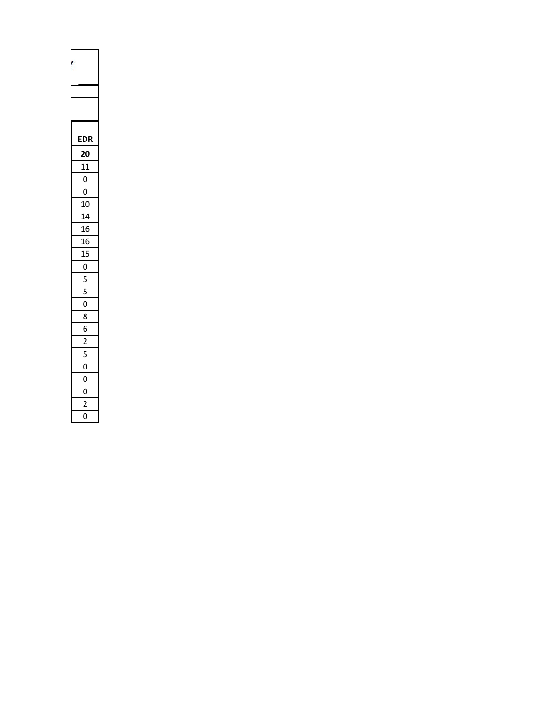| ŗ              |  |  |  |  |
|----------------|--|--|--|--|
|                |  |  |  |  |
|                |  |  |  |  |
|                |  |  |  |  |
|                |  |  |  |  |
| DF             |  |  |  |  |
| 20             |  |  |  |  |
| 11             |  |  |  |  |
| $\mathbf 0$    |  |  |  |  |
| $\overline{0}$ |  |  |  |  |
| 10             |  |  |  |  |
| 14             |  |  |  |  |
| 16             |  |  |  |  |
| 16             |  |  |  |  |
| 15             |  |  |  |  |
| $\overline{0}$ |  |  |  |  |
| $\overline{5}$ |  |  |  |  |
| -<br>5         |  |  |  |  |
| 0              |  |  |  |  |
| 8              |  |  |  |  |
| 6              |  |  |  |  |
| $\overline{2}$ |  |  |  |  |
| l              |  |  |  |  |
| 0              |  |  |  |  |
| O              |  |  |  |  |
| O              |  |  |  |  |
| ,              |  |  |  |  |
| 0              |  |  |  |  |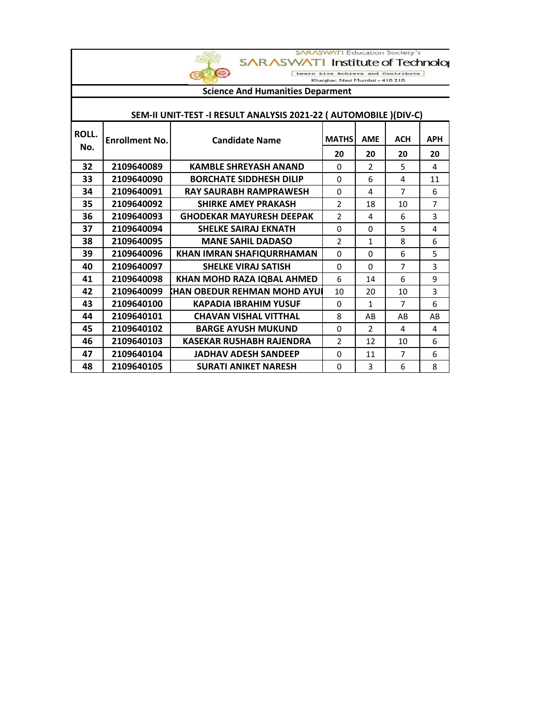|       | <b>SARASWATI Education Society's</b><br>Institute of Technolog<br><b>SARASWATI</b><br>$\circ$<br>Learn Live Achieve and Contribute<br>Kharghar, Navi Mumbai - 410 210.<br><b>Science And Humanities Deparment</b> |                                                                   |                          |                |                |                |
|-------|-------------------------------------------------------------------------------------------------------------------------------------------------------------------------------------------------------------------|-------------------------------------------------------------------|--------------------------|----------------|----------------|----------------|
|       |                                                                                                                                                                                                                   |                                                                   |                          |                |                |                |
|       |                                                                                                                                                                                                                   |                                                                   |                          |                |                |                |
|       |                                                                                                                                                                                                                   | SEM-II UNIT-TEST -I RESULT ANALYSIS 2021-22 ( AUTOMOBILE )(DIV-C) |                          |                |                |                |
| ROLL. | <b>Enrollment No.</b>                                                                                                                                                                                             | <b>Candidate Name</b>                                             | <b>MATHS</b>             | <b>AME</b>     | <b>ACH</b>     | <b>APH</b>     |
| No.   |                                                                                                                                                                                                                   |                                                                   | 20                       | 20             | 20             | 20             |
| 32    | 2109640089                                                                                                                                                                                                        | <b>KAMBLE SHREYASH ANAND</b>                                      | $\Omega$                 | $\overline{2}$ | 5              | 4              |
| 33    | 2109640090                                                                                                                                                                                                        | <b>BORCHATE SIDDHESH DILIP</b>                                    | 0                        | 6              | 4              | 11             |
| 34    | 2109640091                                                                                                                                                                                                        | <b>RAY SAURABH RAMPRAWESH</b>                                     | 0                        | 4              | $\overline{7}$ | 6              |
| 35    | 2109640092                                                                                                                                                                                                        | <b>SHIRKE AMEY PRAKASH</b>                                        | $\overline{2}$           | 18             | 10             | $\overline{7}$ |
| 36    | 2109640093                                                                                                                                                                                                        | <b>GHODEKAR MAYURESH DEEPAK</b>                                   | $\overline{2}$           | 4              | 6              | 3              |
| 37    | 2109640094                                                                                                                                                                                                        | <b>SHELKE SAIRAJ EKNATH</b>                                       | $\Omega$                 | $\Omega$       | 5              | 4              |
| 38    | 2109640095                                                                                                                                                                                                        | <b>MANE SAHIL DADASO</b>                                          | $\overline{\phantom{a}}$ | $\mathbf{1}$   | 8              | 6              |
| 39    | 2109640096                                                                                                                                                                                                        | KHAN IMRAN SHAFIQURRHAMAN                                         | 0                        | 0              | 6              | 5              |
| 40    | 2109640097                                                                                                                                                                                                        | <b>SHELKE VIRAJ SATISH</b>                                        | 0                        | $\Omega$       | $\overline{7}$ | 3              |
| 41    | 2109640098                                                                                                                                                                                                        | KHAN MOHD RAZA IQBAL AHMED                                        | 6                        | 14             | 6              | 9              |
| 42    | 2109640099                                                                                                                                                                                                        | KHAN OBEDUR REHMAN MOHD AYUI                                      | 10                       | 20             | 10             | 3              |
| 43    | 2109640100                                                                                                                                                                                                        | <b>KAPADIA IBRAHIM YUSUF</b>                                      | 0                        | 1              | 7              | 6              |
| 44    | 2109640101                                                                                                                                                                                                        | <b>CHAVAN VISHAL VITTHAL</b>                                      | 8                        | AB             | AB             | AB             |
| 45    | 2109640102                                                                                                                                                                                                        | <b>BARGE AYUSH MUKUND</b>                                         | 0                        | $\overline{2}$ | 4              | 4              |
| 46    | 2109640103                                                                                                                                                                                                        | <b>KASEKAR RUSHABH RAJENDRA</b>                                   | $\overline{2}$           | 12             | 10             | 6              |
| 47    | 2109640104                                                                                                                                                                                                        | <b>JADHAV ADESH SANDEEP</b>                                       | 0                        | 11             | $\overline{7}$ | 6              |
| 48    | 2109640105                                                                                                                                                                                                        | <b>SURATI ANIKET NARESH</b>                                       | 0                        | 3              | 6              | 8              |